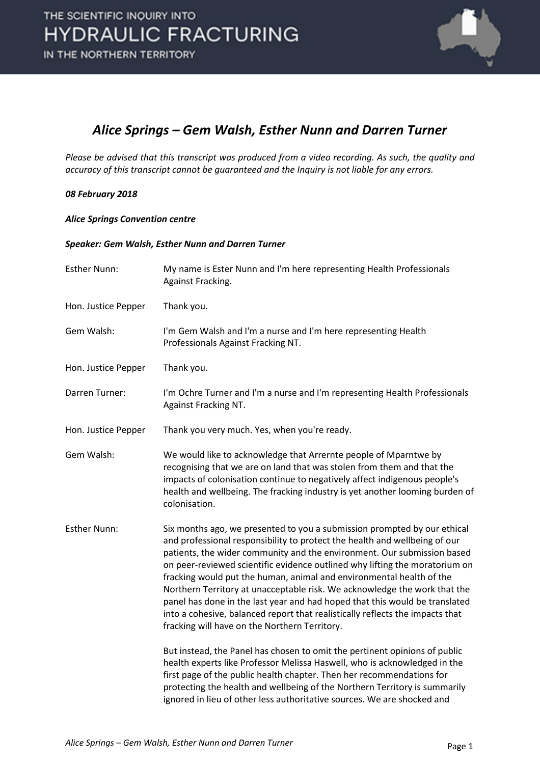

### *Alice Springs – Gem Walsh, Esther Nunn and Darren Turner*

*Please be advised that this transcript was produced from a video recording. As such, the quality and accuracy of this transcript cannot be guaranteed and the Inquiry is not liable for any errors.*

### *08 February 2018*

#### *Alice Springs Convention centre*

### *Speaker: Gem Walsh, Esther Nunn and Darren Turner*

| <b>Esther Nunn:</b> | My name is Ester Nunn and I'm here representing Health Professionals<br>Against Fracking.                                                                                                                                                                                                                                                                                                                                                                                                                                                                                                                                                                                                                                                                                                                                                                                                                                  |
|---------------------|----------------------------------------------------------------------------------------------------------------------------------------------------------------------------------------------------------------------------------------------------------------------------------------------------------------------------------------------------------------------------------------------------------------------------------------------------------------------------------------------------------------------------------------------------------------------------------------------------------------------------------------------------------------------------------------------------------------------------------------------------------------------------------------------------------------------------------------------------------------------------------------------------------------------------|
| Hon. Justice Pepper | Thank you.                                                                                                                                                                                                                                                                                                                                                                                                                                                                                                                                                                                                                                                                                                                                                                                                                                                                                                                 |
| Gem Walsh:          | I'm Gem Walsh and I'm a nurse and I'm here representing Health<br>Professionals Against Fracking NT.                                                                                                                                                                                                                                                                                                                                                                                                                                                                                                                                                                                                                                                                                                                                                                                                                       |
| Hon. Justice Pepper | Thank you.                                                                                                                                                                                                                                                                                                                                                                                                                                                                                                                                                                                                                                                                                                                                                                                                                                                                                                                 |
| Darren Turner:      | I'm Ochre Turner and I'm a nurse and I'm representing Health Professionals<br>Against Fracking NT.                                                                                                                                                                                                                                                                                                                                                                                                                                                                                                                                                                                                                                                                                                                                                                                                                         |
| Hon. Justice Pepper | Thank you very much. Yes, when you're ready.                                                                                                                                                                                                                                                                                                                                                                                                                                                                                                                                                                                                                                                                                                                                                                                                                                                                               |
| Gem Walsh:          | We would like to acknowledge that Arrernte people of Mparntwe by<br>recognising that we are on land that was stolen from them and that the<br>impacts of colonisation continue to negatively affect indigenous people's<br>health and wellbeing. The fracking industry is yet another looming burden of<br>colonisation.                                                                                                                                                                                                                                                                                                                                                                                                                                                                                                                                                                                                   |
| <b>Esther Nunn:</b> | Six months ago, we presented to you a submission prompted by our ethical<br>and professional responsibility to protect the health and wellbeing of our<br>patients, the wider community and the environment. Our submission based<br>on peer-reviewed scientific evidence outlined why lifting the moratorium on<br>fracking would put the human, animal and environmental health of the<br>Northern Territory at unacceptable risk. We acknowledge the work that the<br>panel has done in the last year and had hoped that this would be translated<br>into a cohesive, balanced report that realistically reflects the impacts that<br>fracking will have on the Northern Territory.<br>But instead, the Panel has chosen to omit the pertinent opinions of public<br>health experts like Professor Melissa Haswell, who is acknowledged in the<br>first page of the public health chapter. Then her recommendations for |
|                     | protecting the health and wellbeing of the Northern Territory is summarily<br>ignored in lieu of other less authoritative sources. We are shocked and                                                                                                                                                                                                                                                                                                                                                                                                                                                                                                                                                                                                                                                                                                                                                                      |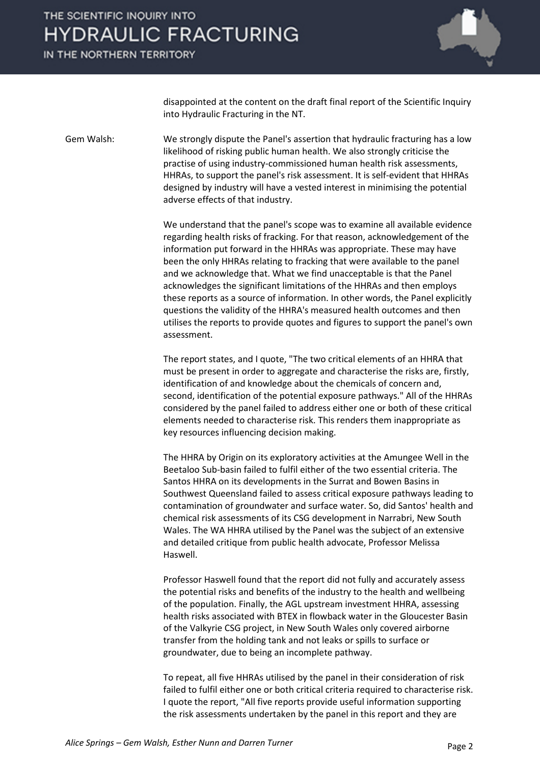IN THE NORTHERN TERRITORY



disappointed at the content on the draft final report of the Scientific Inquiry into Hydraulic Fracturing in the NT.

Gem Walsh: We strongly dispute the Panel's assertion that hydraulic fracturing has a low likelihood of risking public human health. We also strongly criticise the practise of using industry-commissioned human health risk assessments, HHRAs, to support the panel's risk assessment. It is self-evident that HHRAs designed by industry will have a vested interest in minimising the potential adverse effects of that industry.

> We understand that the panel's scope was to examine all available evidence regarding health risks of fracking. For that reason, acknowledgement of the information put forward in the HHRAs was appropriate. These may have been the only HHRAs relating to fracking that were available to the panel and we acknowledge that. What we find unacceptable is that the Panel acknowledges the significant limitations of the HHRAs and then employs these reports as a source of information. In other words, the Panel explicitly questions the validity of the HHRA's measured health outcomes and then utilises the reports to provide quotes and figures to support the panel's own assessment.

> The report states, and I quote, "The two critical elements of an HHRA that must be present in order to aggregate and characterise the risks are, firstly, identification of and knowledge about the chemicals of concern and, second, identification of the potential exposure pathways." All of the HHRAs considered by the panel failed to address either one or both of these critical elements needed to characterise risk. This renders them inappropriate as key resources influencing decision making.

> The HHRA by Origin on its exploratory activities at the Amungee Well in the Beetaloo Sub-basin failed to fulfil either of the two essential criteria. The Santos HHRA on its developments in the Surrat and Bowen Basins in Southwest Queensland failed to assess critical exposure pathways leading to contamination of groundwater and surface water. So, did Santos' health and chemical risk assessments of its CSG development in Narrabri, New South Wales. The WA HHRA utilised by the Panel was the subject of an extensive and detailed critique from public health advocate, Professor Melissa Haswell.

Professor Haswell found that the report did not fully and accurately assess the potential risks and benefits of the industry to the health and wellbeing of the population. Finally, the AGL upstream investment HHRA, assessing health risks associated with BTEX in flowback water in the Gloucester Basin of the Valkyrie CSG project, in New South Wales only covered airborne transfer from the holding tank and not leaks or spills to surface or groundwater, due to being an incomplete pathway.

To repeat, all five HHRAs utilised by the panel in their consideration of risk failed to fulfil either one or both critical criteria required to characterise risk. I quote the report, "All five reports provide useful information supporting the risk assessments undertaken by the panel in this report and they are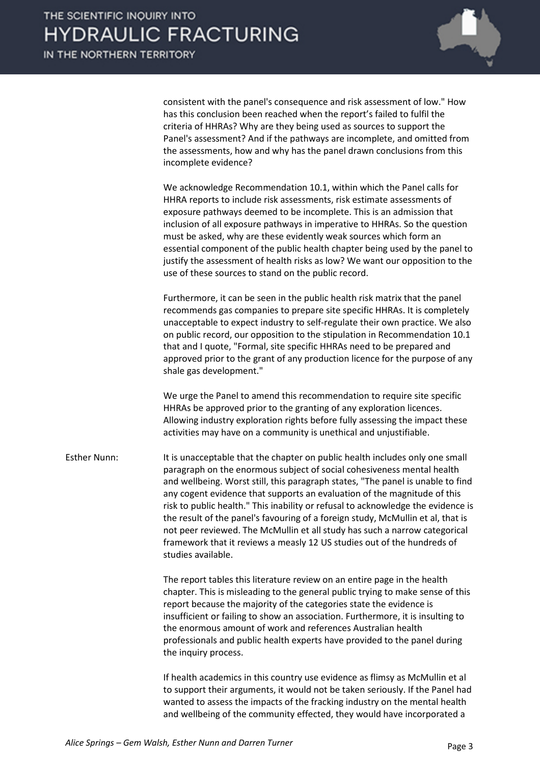consistent with the panel's consequence and risk assessment of low." How has this conclusion been reached when the report's failed to fulfil the criteria of HHRAs? Why are they being used as sources to support the Panel's assessment? And if the pathways are incomplete, and omitted from the assessments, how and why has the panel drawn conclusions from this incomplete evidence?

We acknowledge Recommendation 10.1, within which the Panel calls for HHRA reports to include risk assessments, risk estimate assessments of exposure pathways deemed to be incomplete. This is an admission that inclusion of all exposure pathways in imperative to HHRAs. So the question must be asked, why are these evidently weak sources which form an essential component of the public health chapter being used by the panel to justify the assessment of health risks as low? We want our opposition to the use of these sources to stand on the public record.

Furthermore, it can be seen in the public health risk matrix that the panel recommends gas companies to prepare site specific HHRAs. It is completely unacceptable to expect industry to self-regulate their own practice. We also on public record, our opposition to the stipulation in Recommendation 10.1 that and I quote, "Formal, site specific HHRAs need to be prepared and approved prior to the grant of any production licence for the purpose of any shale gas development."

We urge the Panel to amend this recommendation to require site specific HHRAs be approved prior to the granting of any exploration licences. Allowing industry exploration rights before fully assessing the impact these activities may have on a community is unethical and unjustifiable.

Esther Nunn: It is unacceptable that the chapter on public health includes only one small paragraph on the enormous subject of social cohesiveness mental health and wellbeing. Worst still, this paragraph states, "The panel is unable to find any cogent evidence that supports an evaluation of the magnitude of this risk to public health." This inability or refusal to acknowledge the evidence is the result of the panel's favouring of a foreign study, McMullin et al, that is not peer reviewed. The McMullin et all study has such a narrow categorical framework that it reviews a measly 12 US studies out of the hundreds of studies available.

> The report tables this literature review on an entire page in the health chapter. This is misleading to the general public trying to make sense of this report because the majority of the categories state the evidence is insufficient or failing to show an association. Furthermore, it is insulting to the enormous amount of work and references Australian health professionals and public health experts have provided to the panel during the inquiry process.

> If health academics in this country use evidence as flimsy as McMullin et al to support their arguments, it would not be taken seriously. If the Panel had wanted to assess the impacts of the fracking industry on the mental health and wellbeing of the community effected, they would have incorporated a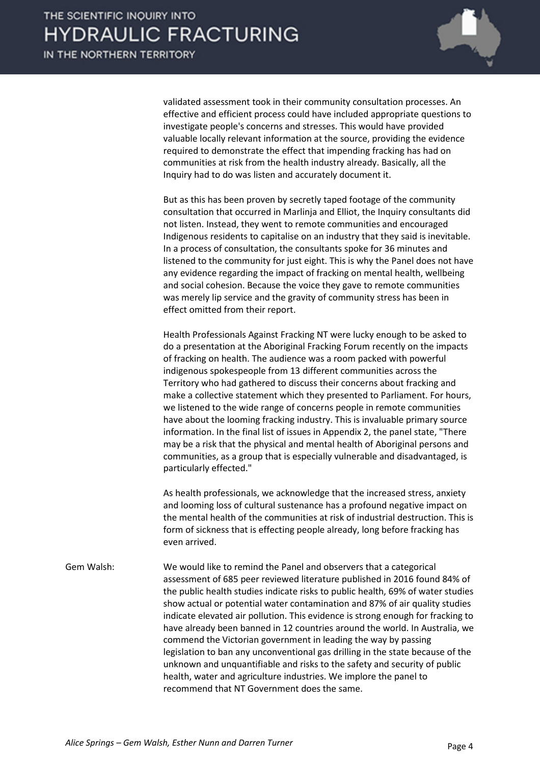

validated assessment took in their community consultation processes. An effective and efficient process could have included appropriate questions to investigate people's concerns and stresses. This would have provided valuable locally relevant information at the source, providing the evidence required to demonstrate the effect that impending fracking has had on communities at risk from the health industry already. Basically, all the Inquiry had to do was listen and accurately document it.

But as this has been proven by secretly taped footage of the community consultation that occurred in Marlinja and Elliot, the Inquiry consultants did not listen. Instead, they went to remote communities and encouraged Indigenous residents to capitalise on an industry that they said is inevitable. In a process of consultation, the consultants spoke for 36 minutes and listened to the community for just eight. This is why the Panel does not have any evidence regarding the impact of fracking on mental health, wellbeing and social cohesion. Because the voice they gave to remote communities was merely lip service and the gravity of community stress has been in effect omitted from their report.

Health Professionals Against Fracking NT were lucky enough to be asked to do a presentation at the Aboriginal Fracking Forum recently on the impacts of fracking on health. The audience was a room packed with powerful indigenous spokespeople from 13 different communities across the Territory who had gathered to discuss their concerns about fracking and make a collective statement which they presented to Parliament. For hours, we listened to the wide range of concerns people in remote communities have about the looming fracking industry. This is invaluable primary source information. In the final list of issues in Appendix 2, the panel state, "There may be a risk that the physical and mental health of Aboriginal persons and communities, as a group that is especially vulnerable and disadvantaged, is particularly effected."

As health professionals, we acknowledge that the increased stress, anxiety and looming loss of cultural sustenance has a profound negative impact on the mental health of the communities at risk of industrial destruction. This is form of sickness that is effecting people already, long before fracking has even arrived.

Gem Walsh: We would like to remind the Panel and observers that a categorical assessment of 685 peer reviewed literature published in 2016 found 84% of the public health studies indicate risks to public health, 69% of water studies show actual or potential water contamination and 87% of air quality studies indicate elevated air pollution. This evidence is strong enough for fracking to have already been banned in 12 countries around the world. In Australia, we commend the Victorian government in leading the way by passing legislation to ban any unconventional gas drilling in the state because of the unknown and unquantifiable and risks to the safety and security of public health, water and agriculture industries. We implore the panel to recommend that NT Government does the same.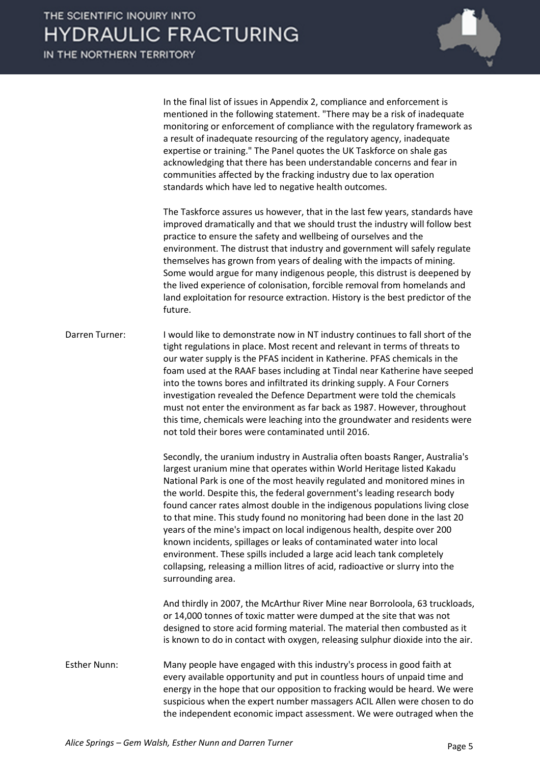IN THE NORTHERN TERRITORY



In the final list of issues in Appendix 2, compliance and enforcement is mentioned in the following statement. "There may be a risk of inadequate monitoring or enforcement of compliance with the regulatory framework as a result of inadequate resourcing of the regulatory agency, inadequate expertise or training." The Panel quotes the UK Taskforce on shale gas acknowledging that there has been understandable concerns and fear in communities affected by the fracking industry due to lax operation standards which have led to negative health outcomes.

The Taskforce assures us however, that in the last few years, standards have improved dramatically and that we should trust the industry will follow best practice to ensure the safety and wellbeing of ourselves and the environment. The distrust that industry and government will safely regulate themselves has grown from years of dealing with the impacts of mining. Some would argue for many indigenous people, this distrust is deepened by the lived experience of colonisation, forcible removal from homelands and land exploitation for resource extraction. History is the best predictor of the future.

Darren Turner: I would like to demonstrate now in NT industry continues to fall short of the tight regulations in place. Most recent and relevant in terms of threats to our water supply is the PFAS incident in Katherine. PFAS chemicals in the foam used at the RAAF bases including at Tindal near Katherine have seeped into the towns bores and infiltrated its drinking supply. A Four Corners investigation revealed the Defence Department were told the chemicals must not enter the environment as far back as 1987. However, throughout this time, chemicals were leaching into the groundwater and residents were not told their bores were contaminated until 2016.

> Secondly, the uranium industry in Australia often boasts Ranger, Australia's largest uranium mine that operates within World Heritage listed Kakadu National Park is one of the most heavily regulated and monitored mines in the world. Despite this, the federal government's leading research body found cancer rates almost double in the indigenous populations living close to that mine. This study found no monitoring had been done in the last 20 years of the mine's impact on local indigenous health, despite over 200 known incidents, spillages or leaks of contaminated water into local environment. These spills included a large acid leach tank completely collapsing, releasing a million litres of acid, radioactive or slurry into the surrounding area.

And thirdly in 2007, the McArthur River Mine near Borroloola, 63 truckloads, or 14,000 tonnes of toxic matter were dumped at the site that was not designed to store acid forming material. The material then combusted as it is known to do in contact with oxygen, releasing sulphur dioxide into the air.

Esther Nunn: Many people have engaged with this industry's process in good faith at every available opportunity and put in countless hours of unpaid time and energy in the hope that our opposition to fracking would be heard. We were suspicious when the expert number massagers ACIL Allen were chosen to do the independent economic impact assessment. We were outraged when the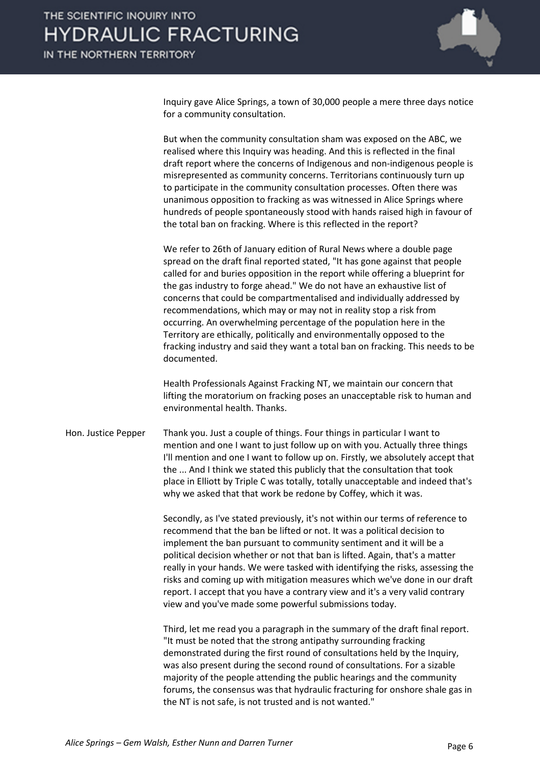

Inquiry gave Alice Springs, a town of 30,000 people a mere three days notice for a community consultation.

But when the community consultation sham was exposed on the ABC, we realised where this Inquiry was heading. And this is reflected in the final draft report where the concerns of Indigenous and non-indigenous people is misrepresented as community concerns. Territorians continuously turn up to participate in the community consultation processes. Often there was unanimous opposition to fracking as was witnessed in Alice Springs where hundreds of people spontaneously stood with hands raised high in favour of the total ban on fracking. Where is this reflected in the report?

We refer to 26th of January edition of Rural News where a double page spread on the draft final reported stated, "It has gone against that people called for and buries opposition in the report while offering a blueprint for the gas industry to forge ahead." We do not have an exhaustive list of concerns that could be compartmentalised and individually addressed by recommendations, which may or may not in reality stop a risk from occurring. An overwhelming percentage of the population here in the Territory are ethically, politically and environmentally opposed to the fracking industry and said they want a total ban on fracking. This needs to be documented.

Health Professionals Against Fracking NT, we maintain our concern that lifting the moratorium on fracking poses an unacceptable risk to human and environmental health. Thanks.

Hon. Justice Pepper Thank you. Just a couple of things. Four things in particular I want to mention and one I want to just follow up on with you. Actually three things I'll mention and one I want to follow up on. Firstly, we absolutely accept that the ... And I think we stated this publicly that the consultation that took place in Elliott by Triple C was totally, totally unacceptable and indeed that's why we asked that that work be redone by Coffey, which it was.

> Secondly, as I've stated previously, it's not within our terms of reference to recommend that the ban be lifted or not. It was a political decision to implement the ban pursuant to community sentiment and it will be a political decision whether or not that ban is lifted. Again, that's a matter really in your hands. We were tasked with identifying the risks, assessing the risks and coming up with mitigation measures which we've done in our draft report. I accept that you have a contrary view and it's a very valid contrary view and you've made some powerful submissions today.

> Third, let me read you a paragraph in the summary of the draft final report. "It must be noted that the strong antipathy surrounding fracking demonstrated during the first round of consultations held by the Inquiry, was also present during the second round of consultations. For a sizable majority of the people attending the public hearings and the community forums, the consensus was that hydraulic fracturing for onshore shale gas in the NT is not safe, is not trusted and is not wanted."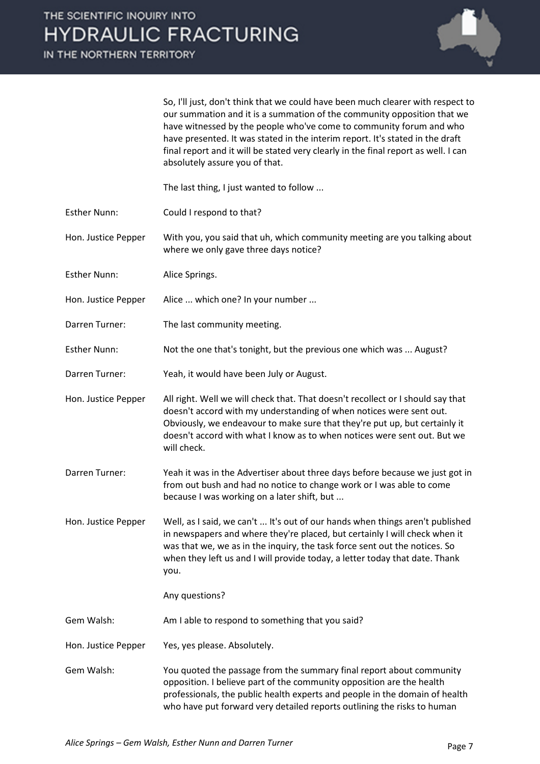IN THE NORTHERN TERRITORY



So, I'll just, don't think that we could have been much clearer with respect to our summation and it is a summation of the community opposition that we have witnessed by the people who've come to community forum and who have presented. It was stated in the interim report. It's stated in the draft final report and it will be stated very clearly in the final report as well. I can absolutely assure you of that.

The last thing, I just wanted to follow ...

Esther Nunn: Could I respond to that?

Hon. Justice Pepper With you, you said that uh, which community meeting are you talking about where we only gave three days notice?

- Esther Nunn: Alice Springs.
- Hon. Justice Pepper Alice ... which one? In your number ...
- Darren Turner: The last community meeting.
- Esther Nunn: Not the one that's tonight, but the previous one which was ... August?
- Darren Turner: Yeah, it would have been July or August.
- Hon. Justice Pepper All right. Well we will check that. That doesn't recollect or I should say that doesn't accord with my understanding of when notices were sent out. Obviously, we endeavour to make sure that they're put up, but certainly it doesn't accord with what I know as to when notices were sent out. But we will check.
- Darren Turner: Yeah it was in the Advertiser about three days before because we just got in from out bush and had no notice to change work or I was able to come because I was working on a later shift, but ...
- Hon. Justice Pepper Well, as I said, we can't ... It's out of our hands when things aren't published in newspapers and where they're placed, but certainly I will check when it was that we, we as in the inquiry, the task force sent out the notices. So when they left us and I will provide today, a letter today that date. Thank you.

Any questions?

Gem Walsh: Am I able to respond to something that you said?

- Hon. Justice Pepper Yes, yes please. Absolutely.
- Gem Walsh: You quoted the passage from the summary final report about community opposition. I believe part of the community opposition are the health professionals, the public health experts and people in the domain of health who have put forward very detailed reports outlining the risks to human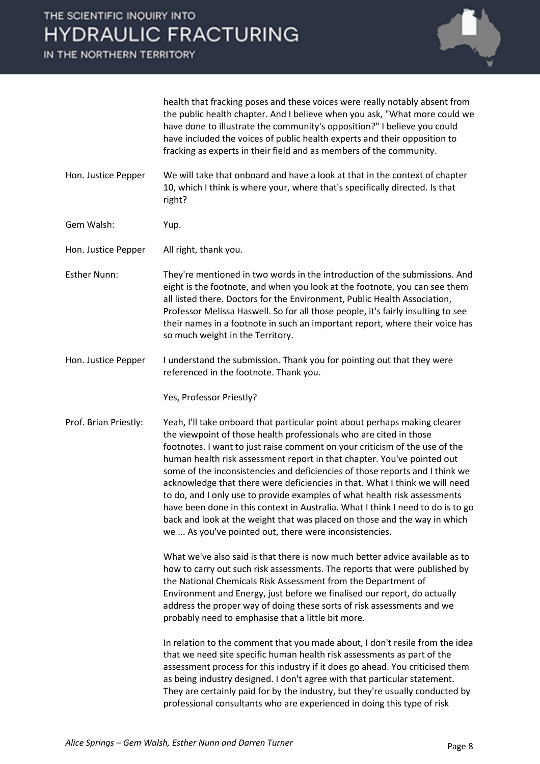IN THE NORTHERN TERRITORY



health that fracking poses and these voices were really notably absent from the public health chapter. And I believe when you ask, "What more could we have done to illustrate the community's opposition?" I believe you could have included the voices of public health experts and their opposition to fracking as experts in their field and as members of the community.

Hon. Justice Pepper We will take that onboard and have a look at that in the context of chapter 10, which I think is where your, where that's specifically directed. Is that right?

Gem Walsh: Yup.

Hon. Justice Pepper All right, thank you.

- Esther Nunn: They're mentioned in two words in the introduction of the submissions. And eight is the footnote, and when you look at the footnote, you can see them all listed there. Doctors for the Environment, Public Health Association, Professor Melissa Haswell. So for all those people, it's fairly insulting to see their names in a footnote in such an important report, where their voice has so much weight in the Territory.
- Hon. Justice Pepper I understand the submission. Thank you for pointing out that they were referenced in the footnote. Thank you.

Yes, Professor Priestly?

Prof. Brian Priestly: Yeah, I'll take onboard that particular point about perhaps making clearer the viewpoint of those health professionals who are cited in those footnotes. I want to just raise comment on your criticism of the use of the human health risk assessment report in that chapter. You've pointed out some of the inconsistencies and deficiencies of those reports and I think we acknowledge that there were deficiencies in that. What I think we will need to do, and I only use to provide examples of what health risk assessments have been done in this context in Australia. What I think I need to do is to go back and look at the weight that was placed on those and the way in which we ... As you've pointed out, there were inconsistencies.

> What we've also said is that there is now much better advice available as to how to carry out such risk assessments. The reports that were published by the National Chemicals Risk Assessment from the Department of Environment and Energy, just before we finalised our report, do actually address the proper way of doing these sorts of risk assessments and we probably need to emphasise that a little bit more.

> In relation to the comment that you made about, I don't resile from the idea that we need site specific human health risk assessments as part of the assessment process for this industry if it does go ahead. You criticised them as being industry designed. I don't agree with that particular statement. They are certainly paid for by the industry, but they're usually conducted by professional consultants who are experienced in doing this type of risk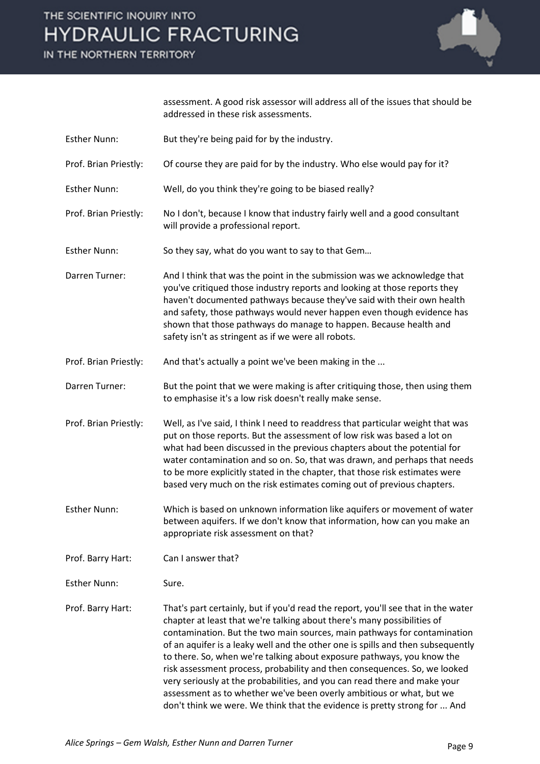IN THE NORTHERN TERRITORY



assessment. A good risk assessor will address all of the issues that should be addressed in these risk assessments.

- Esther Nunn: But they're being paid for by the industry.
- Prof. Brian Priestly: Of course they are paid for by the industry. Who else would pay for it?

Esther Nunn: Well, do you think they're going to be biased really?

- Prof. Brian Priestly: No I don't, because I know that industry fairly well and a good consultant will provide a professional report.
- Esther Nunn: So they say, what do you want to say to that Gem…
- Darren Turner: And I think that was the point in the submission was we acknowledge that you've critiqued those industry reports and looking at those reports they haven't documented pathways because they've said with their own health and safety, those pathways would never happen even though evidence has shown that those pathways do manage to happen. Because health and safety isn't as stringent as if we were all robots.
- Prof. Brian Priestly: And that's actually a point we've been making in the ...
- Darren Turner: But the point that we were making is after critiquing those, then using them to emphasise it's a low risk doesn't really make sense.
- Prof. Brian Priestly: Well, as I've said, I think I need to readdress that particular weight that was put on those reports. But the assessment of low risk was based a lot on what had been discussed in the previous chapters about the potential for water contamination and so on. So, that was drawn, and perhaps that needs to be more explicitly stated in the chapter, that those risk estimates were based very much on the risk estimates coming out of previous chapters.

Esther Nunn: Which is based on unknown information like aquifers or movement of water between aquifers. If we don't know that information, how can you make an appropriate risk assessment on that?

Prof. Barry Hart: Can I answer that?

Esther Nunn: Sure.

Prof. Barry Hart: That's part certainly, but if you'd read the report, you'll see that in the water chapter at least that we're talking about there's many possibilities of contamination. But the two main sources, main pathways for contamination of an aquifer is a leaky well and the other one is spills and then subsequently to there. So, when we're talking about exposure pathways, you know the risk assessment process, probability and then consequences. So, we looked very seriously at the probabilities, and you can read there and make your assessment as to whether we've been overly ambitious or what, but we don't think we were. We think that the evidence is pretty strong for ... And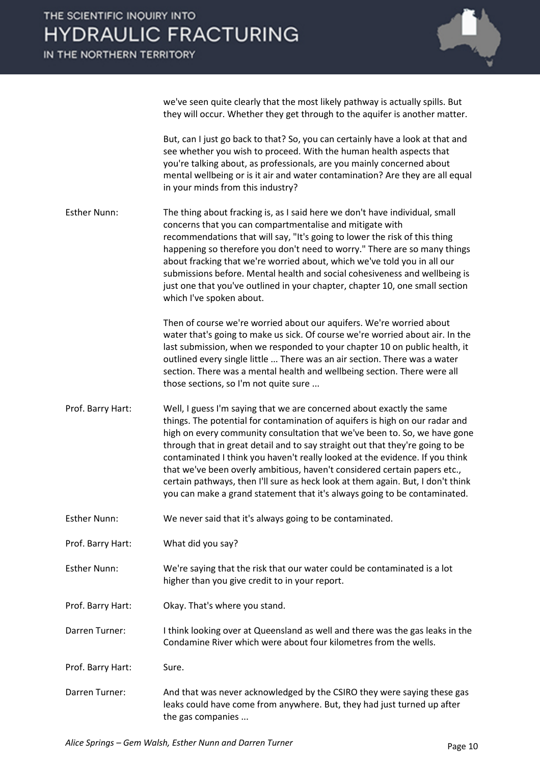

we've seen quite clearly that the most likely pathway is actually spills. But they will occur. Whether they get through to the aquifer is another matter.

But, can I just go back to that? So, you can certainly have a look at that and see whether you wish to proceed. With the human health aspects that you're talking about, as professionals, are you mainly concerned about mental wellbeing or is it air and water contamination? Are they are all equal in your minds from this industry?

Esther Nunn: The thing about fracking is, as I said here we don't have individual, small concerns that you can compartmentalise and mitigate with recommendations that will say, "It's going to lower the risk of this thing happening so therefore you don't need to worry." There are so many things about fracking that we're worried about, which we've told you in all our submissions before. Mental health and social cohesiveness and wellbeing is just one that you've outlined in your chapter, chapter 10, one small section which I've spoken about.

> Then of course we're worried about our aquifers. We're worried about water that's going to make us sick. Of course we're worried about air. In the last submission, when we responded to your chapter 10 on public health, it outlined every single little ... There was an air section. There was a water section. There was a mental health and wellbeing section. There were all those sections, so I'm not quite sure ...

- Prof. Barry Hart: Well, I guess I'm saying that we are concerned about exactly the same things. The potential for contamination of aquifers is high on our radar and high on every community consultation that we've been to. So, we have gone through that in great detail and to say straight out that they're going to be contaminated I think you haven't really looked at the evidence. If you think that we've been overly ambitious, haven't considered certain papers etc., certain pathways, then I'll sure as heck look at them again. But, I don't think you can make a grand statement that it's always going to be contaminated.
- Esther Nunn: We never said that it's always going to be contaminated.
- Prof. Barry Hart: What did you say?
- Esther Nunn: We're saying that the risk that our water could be contaminated is a lot higher than you give credit to in your report.
- Prof. Barry Hart: Okay. That's where you stand.
- Darren Turner: I think looking over at Queensland as well and there was the gas leaks in the Condamine River which were about four kilometres from the wells.
- Prof. Barry Hart: Sure.
- Darren Turner: And that was never acknowledged by the CSIRO they were saying these gas leaks could have come from anywhere. But, they had just turned up after the gas companies ...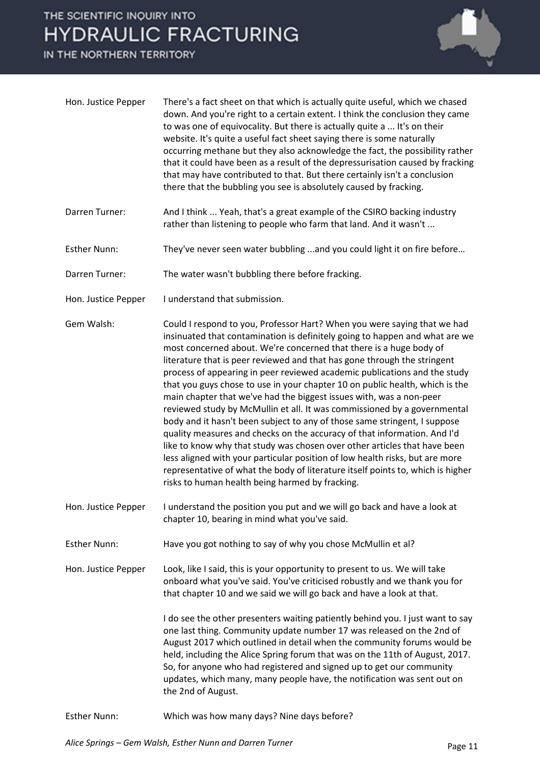IN THE NORTHERN TERRITORY



| Hon. Justice Pepper | There's a fact sheet on that which is actually quite useful, which we chased<br>down. And you're right to a certain extent. I think the conclusion they came<br>to was one of equivocality. But there is actually quite a  It's on their<br>website. It's quite a useful fact sheet saying there is some naturally<br>occurring methane but they also acknowledge the fact, the possibility rather<br>that it could have been as a result of the depressurisation caused by fracking<br>that may have contributed to that. But there certainly isn't a conclusion<br>there that the bubbling you see is absolutely caused by fracking.                                                                                                                                                                                                                                                                                                                                                                                                                                                |
|---------------------|---------------------------------------------------------------------------------------------------------------------------------------------------------------------------------------------------------------------------------------------------------------------------------------------------------------------------------------------------------------------------------------------------------------------------------------------------------------------------------------------------------------------------------------------------------------------------------------------------------------------------------------------------------------------------------------------------------------------------------------------------------------------------------------------------------------------------------------------------------------------------------------------------------------------------------------------------------------------------------------------------------------------------------------------------------------------------------------|
| Darren Turner:      | And I think  Yeah, that's a great example of the CSIRO backing industry<br>rather than listening to people who farm that land. And it wasn't                                                                                                                                                                                                                                                                                                                                                                                                                                                                                                                                                                                                                                                                                                                                                                                                                                                                                                                                          |
| <b>Esther Nunn:</b> | They've never seen water bubbling  and you could light it on fire before                                                                                                                                                                                                                                                                                                                                                                                                                                                                                                                                                                                                                                                                                                                                                                                                                                                                                                                                                                                                              |
| Darren Turner:      | The water wasn't bubbling there before fracking.                                                                                                                                                                                                                                                                                                                                                                                                                                                                                                                                                                                                                                                                                                                                                                                                                                                                                                                                                                                                                                      |
| Hon. Justice Pepper | I understand that submission.                                                                                                                                                                                                                                                                                                                                                                                                                                                                                                                                                                                                                                                                                                                                                                                                                                                                                                                                                                                                                                                         |
| Gem Walsh:          | Could I respond to you, Professor Hart? When you were saying that we had<br>insinuated that contamination is definitely going to happen and what are we<br>most concerned about. We're concerned that there is a huge body of<br>literature that is peer reviewed and that has gone through the stringent<br>process of appearing in peer reviewed academic publications and the study<br>that you guys chose to use in your chapter 10 on public health, which is the<br>main chapter that we've had the biggest issues with, was a non-peer<br>reviewed study by McMullin et all. It was commissioned by a governmental<br>body and it hasn't been subject to any of those same stringent, I suppose<br>quality measures and checks on the accuracy of that information. And I'd<br>like to know why that study was chosen over other articles that have been<br>less aligned with your particular position of low health risks, but are more<br>representative of what the body of literature itself points to, which is higher<br>risks to human health being harmed by fracking. |
| Hon. Justice Pepper | I understand the position you put and we will go back and have a look at<br>chapter 10, bearing in mind what you've said.                                                                                                                                                                                                                                                                                                                                                                                                                                                                                                                                                                                                                                                                                                                                                                                                                                                                                                                                                             |
| <b>Esther Nunn:</b> | Have you got nothing to say of why you chose McMullin et al?                                                                                                                                                                                                                                                                                                                                                                                                                                                                                                                                                                                                                                                                                                                                                                                                                                                                                                                                                                                                                          |
| Hon. Justice Pepper | Look, like I said, this is your opportunity to present to us. We will take<br>onboard what you've said. You've criticised robustly and we thank you for<br>that chapter 10 and we said we will go back and have a look at that.                                                                                                                                                                                                                                                                                                                                                                                                                                                                                                                                                                                                                                                                                                                                                                                                                                                       |
|                     | I do see the other presenters waiting patiently behind you. I just want to say<br>one last thing. Community update number 17 was released on the 2nd of<br>August 2017 which outlined in detail when the community forums would be<br>held, including the Alice Spring forum that was on the 11th of August, 2017.<br>So, for anyone who had registered and signed up to get our community<br>updates, which many, many people have, the notification was sent out on<br>the 2nd of August.                                                                                                                                                                                                                                                                                                                                                                                                                                                                                                                                                                                           |
| <b>Esther Nunn:</b> | Which was how many days? Nine days before?                                                                                                                                                                                                                                                                                                                                                                                                                                                                                                                                                                                                                                                                                                                                                                                                                                                                                                                                                                                                                                            |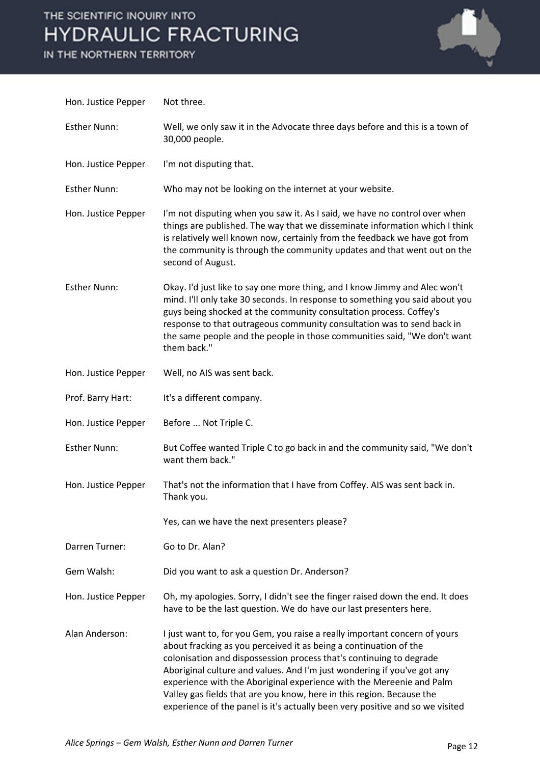IN THE NORTHERN TERRITORY



| Hon. Justice Pepper | Not three.                                                                                                                                                                                                                                                                                                                                                                                                                                                                                                                          |
|---------------------|-------------------------------------------------------------------------------------------------------------------------------------------------------------------------------------------------------------------------------------------------------------------------------------------------------------------------------------------------------------------------------------------------------------------------------------------------------------------------------------------------------------------------------------|
| <b>Esther Nunn:</b> | Well, we only saw it in the Advocate three days before and this is a town of<br>30,000 people.                                                                                                                                                                                                                                                                                                                                                                                                                                      |
| Hon. Justice Pepper | I'm not disputing that.                                                                                                                                                                                                                                                                                                                                                                                                                                                                                                             |
| <b>Esther Nunn:</b> | Who may not be looking on the internet at your website.                                                                                                                                                                                                                                                                                                                                                                                                                                                                             |
| Hon. Justice Pepper | I'm not disputing when you saw it. As I said, we have no control over when<br>things are published. The way that we disseminate information which I think<br>is relatively well known now, certainly from the feedback we have got from<br>the community is through the community updates and that went out on the<br>second of August.                                                                                                                                                                                             |
| <b>Esther Nunn:</b> | Okay. I'd just like to say one more thing, and I know Jimmy and Alec won't<br>mind. I'll only take 30 seconds. In response to something you said about you<br>guys being shocked at the community consultation process. Coffey's<br>response to that outrageous community consultation was to send back in<br>the same people and the people in those communities said, "We don't want<br>them back."                                                                                                                               |
| Hon. Justice Pepper | Well, no AIS was sent back.                                                                                                                                                                                                                                                                                                                                                                                                                                                                                                         |
| Prof. Barry Hart:   | It's a different company.                                                                                                                                                                                                                                                                                                                                                                                                                                                                                                           |
| Hon. Justice Pepper | Before  Not Triple C.                                                                                                                                                                                                                                                                                                                                                                                                                                                                                                               |
| <b>Esther Nunn:</b> | But Coffee wanted Triple C to go back in and the community said, "We don't<br>want them back."                                                                                                                                                                                                                                                                                                                                                                                                                                      |
| Hon. Justice Pepper | That's not the information that I have from Coffey. AIS was sent back in.<br>Thank you.                                                                                                                                                                                                                                                                                                                                                                                                                                             |
|                     | Yes, can we have the next presenters please?                                                                                                                                                                                                                                                                                                                                                                                                                                                                                        |
| Darren Turner:      | Go to Dr. Alan?                                                                                                                                                                                                                                                                                                                                                                                                                                                                                                                     |
| Gem Walsh:          | Did you want to ask a question Dr. Anderson?                                                                                                                                                                                                                                                                                                                                                                                                                                                                                        |
| Hon. Justice Pepper | Oh, my apologies. Sorry, I didn't see the finger raised down the end. It does<br>have to be the last question. We do have our last presenters here.                                                                                                                                                                                                                                                                                                                                                                                 |
| Alan Anderson:      | I just want to, for you Gem, you raise a really important concern of yours<br>about fracking as you perceived it as being a continuation of the<br>colonisation and dispossession process that's continuing to degrade<br>Aboriginal culture and values. And I'm just wondering if you've got any<br>experience with the Aboriginal experience with the Mereenie and Palm<br>Valley gas fields that are you know, here in this region. Because the<br>experience of the panel is it's actually been very positive and so we visited |